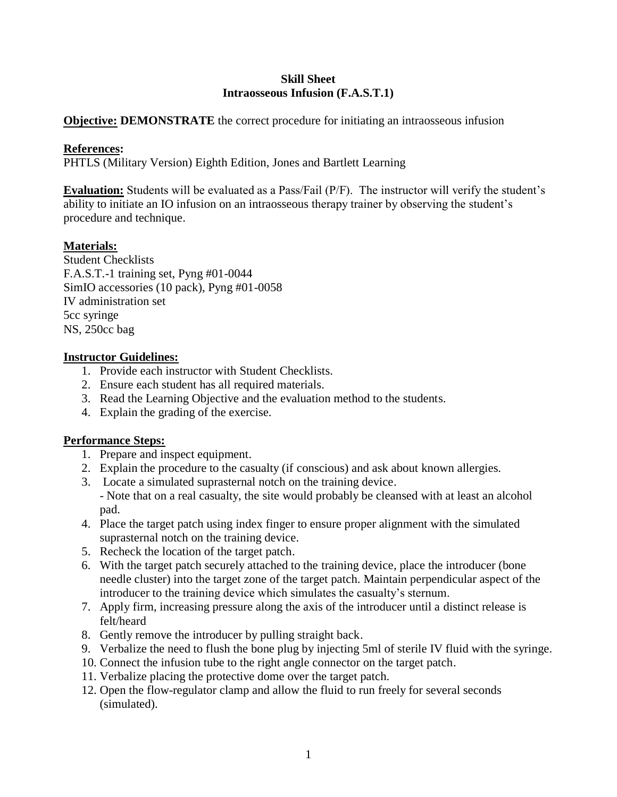### **Skill Sheet Intraosseous Infusion (F.A.S.T.1)**

#### **Objective: DEMONSTRATE** the correct procedure for initiating an intraosseous infusion

#### **References:**

PHTLS (Military Version) Eighth Edition, Jones and Bartlett Learning

**Evaluation:** Students will be evaluated as a Pass/Fail (P/F). The instructor will verify the student's ability to initiate an IO infusion on an intraosseous therapy trainer by observing the student's procedure and technique.

# **Materials:**

Student Checklists F.A.S.T.-1 training set, Pyng #01-0044 SimIO accessories (10 pack), Pyng #01-0058 IV administration set 5cc syringe NS, 250cc bag

### **Instructor Guidelines:**

- 1. Provide each instructor with Student Checklists.
- 2. Ensure each student has all required materials.
- 3. Read the Learning Objective and the evaluation method to the students.
- 4. Explain the grading of the exercise.

#### **Performance Steps:**

- 1. Prepare and inspect equipment.
- 2. Explain the procedure to the casualty (if conscious) and ask about known allergies.
- 3. Locate a simulated suprasternal notch on the training device. - Note that on a real casualty, the site would probably be cleansed with at least an alcohol pad.
- 4. Place the target patch using index finger to ensure proper alignment with the simulated suprasternal notch on the training device.
- 5. Recheck the location of the target patch.
- 6. With the target patch securely attached to the training device, place the introducer (bone needle cluster) into the target zone of the target patch. Maintain perpendicular aspect of the introducer to the training device which simulates the casualty's sternum.
- 7. Apply firm, increasing pressure along the axis of the introducer until a distinct release is felt/heard
- 8. Gently remove the introducer by pulling straight back.
- 9. Verbalize the need to flush the bone plug by injecting 5ml of sterile IV fluid with the syringe.
- 10. Connect the infusion tube to the right angle connector on the target patch.
- 11. Verbalize placing the protective dome over the target patch.
- 12. Open the flow-regulator clamp and allow the fluid to run freely for several seconds (simulated).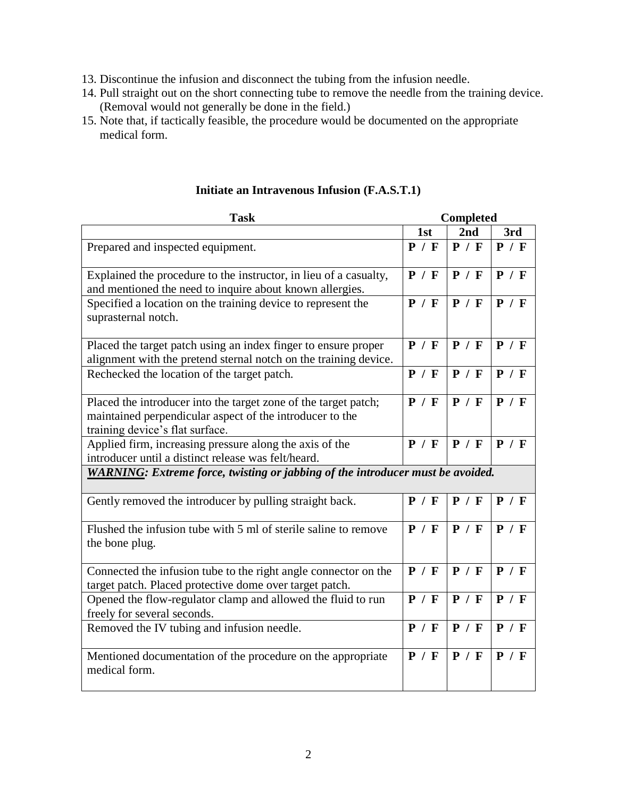- 13. Discontinue the infusion and disconnect the tubing from the infusion needle.
- 14. Pull straight out on the short connecting tube to remove the needle from the training device. (Removal would not generally be done in the field.)
- 15. Note that, if tactically feasible, the procedure would be documented on the appropriate medical form.

| <b>Task</b>                                                                                                                                                    |       | <b>Completed</b> |       |  |
|----------------------------------------------------------------------------------------------------------------------------------------------------------------|-------|------------------|-------|--|
|                                                                                                                                                                | 1st   | 2nd              | 3rd   |  |
| Prepared and inspected equipment.                                                                                                                              | P / F | P / F            | P / F |  |
| Explained the procedure to the instructor, in lieu of a casualty,<br>and mentioned the need to inquire about known allergies.                                  | P / F | P / F            | P / F |  |
| Specified a location on the training device to represent the<br>suprasternal notch.                                                                            | P / F | P / F            | P / F |  |
| Placed the target patch using an index finger to ensure proper<br>alignment with the pretend sternal notch on the training device.                             | P / F | P / F            | P / F |  |
| Rechecked the location of the target patch.                                                                                                                    | P / F | P / F            | P / F |  |
| Placed the introducer into the target zone of the target patch;<br>maintained perpendicular aspect of the introducer to the<br>training device's flat surface. | P / F | P / F            | P / F |  |
| Applied firm, increasing pressure along the axis of the<br>introducer until a distinct release was felt/heard.                                                 | P / F | P / F            | P / F |  |
| <b>WARNING:</b> Extreme force, twisting or jabbing of the introducer must be avoided.                                                                          |       |                  |       |  |
| Gently removed the introducer by pulling straight back.                                                                                                        | P / F | P / F            | P / F |  |
| Flushed the infusion tube with 5 ml of sterile saline to remove<br>the bone plug.                                                                              | P / F | P / F            | P / F |  |
| Connected the infusion tube to the right angle connector on the<br>target patch. Placed protective dome over target patch.                                     | P / F | P / F            | P / F |  |
| Opened the flow-regulator clamp and allowed the fluid to run<br>freely for several seconds.                                                                    | P / F | P / F            | P / F |  |
| Removed the IV tubing and infusion needle.                                                                                                                     | P / F | P / F            | P / F |  |
| Mentioned documentation of the procedure on the appropriate<br>medical form.                                                                                   | P / F | P / F            | P / F |  |

#### **Initiate an Intravenous Infusion (F.A.S.T.1)**